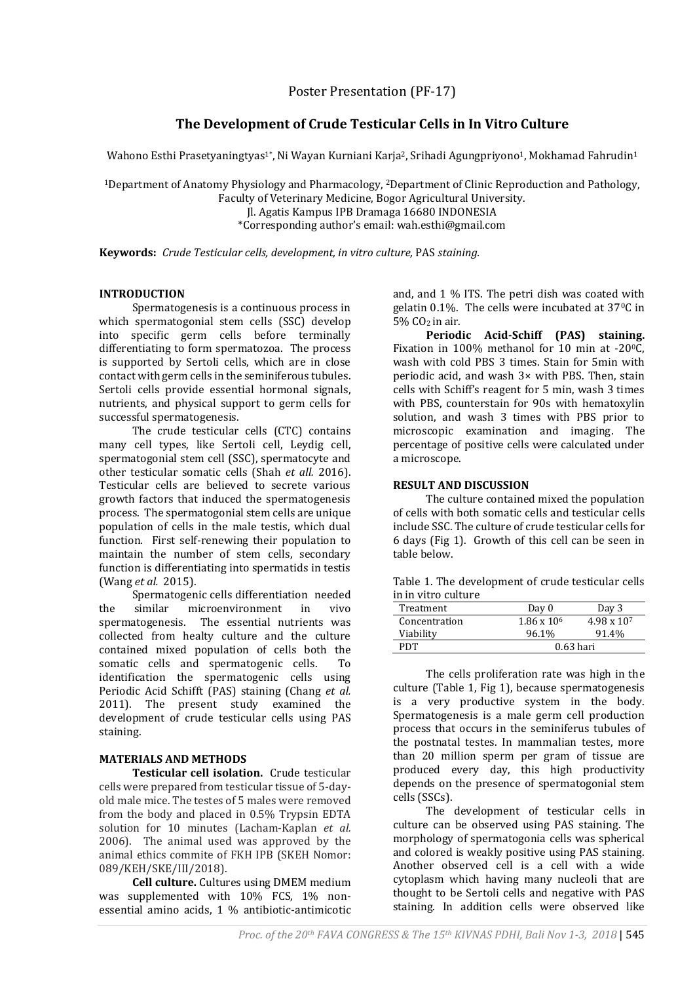Poster Presentation (PF-17)

# **The Development of Crude Testicular Cells in In Vitro Culture**

Wahono Esthi Prasetyaningtyas $^{1*}$ , Ni Wayan Kurniani Karja $^2$ , Srihadi Agungpriyono $^1$ , Mokhamad Fahrudin $^1$ 

<sup>1</sup>Department of Anatomy Physiology and Pharmacology, <sup>2</sup>Department of Clinic Reproduction and Pathology, Faculty of Veterinary Medicine, Bogor Agricultural University.

Jl. Agatis Kampus IPB Dramaga 16680 INDONESIA

\*Corresponding author's email: wah.esthi@gmail.com

**Keywords:** *Crude Testicular cells, development, in vitro culture,* PAS *staining.*

## **INTRODUCTION**

Spermatogenesis is a continuous process in which spermatogonial stem cells (SSC) develop into specific germ cells before terminally differentiating to form spermatozoa. The process is supported by Sertoli cells, which are in close contact with germ cells in the seminiferous tubules. Sertoli cells provide essential hormonal signals, nutrients, and physical support to germ cells for successful spermatogenesis.

The crude testicular cells (CTC) contains many cell types, like Sertoli cell, Leydig cell, spermatogonial stem cell (SSC), spermatocyte and other testicular somatic cells (Shah *et all.* 2016). Testicular cells are believed to secrete various growth factors that induced the spermatogenesis process. The spermatogonial stem cells are unique population of cells in the male testis, which dual function. First self-renewing their population to maintain the number of stem cells, secondary function is differentiating into spermatids in testis (Wang *et al.* 2015).

Spermatogenic cells differentiation needed the similar microenvironment in vivo spermatogenesis. The essential nutrients was collected from healty culture and the culture contained mixed population of cells both the somatic cells and spermatogenic cells. To identification the spermatogenic cells using Periodic Acid Schifft (PAS) staining (Chang *et al.*  2011). The present study examined the development of crude testicular cells using PAS staining.

## **MATERIALS AND METHODS**

**Testicular cell isolation.**Crude testicular cells were prepared from testicular tissue of 5-dayold male mice. The testes of 5 males were removed from the body and placed in 0.5% Trypsin EDTA solution for 10 minutes (Lacham-Kaplan *et al.*  2006). The animal used was approved by the animal ethics commite of FKH IPB (SKEH Nomor: 089/KEH/SKE/III/2018).

**Cell culture.** Cultures using DMEM medium was supplemented with 10% FCS, 1% nonessential amino acids, 1 % antibiotic-antimicotic

and, and 1 % ITS. The petri dish was coated with gelatin 0.1%. The cells were incubated at 370C in 5% CO2 in air.

**Periodic Acid-Schiff (PAS) staining.** Fixation in 100% methanol for 10 min at -20°C, wash with cold PBS 3 times. Stain for 5min with periodic acid, and wash 3× with PBS. Then, stain cells with Schiff's reagent for 5 min, wash 3 times with PBS, counterstain for 90s with hematoxylin solution, and wash 3 times with PBS prior to microscopic examination and imaging. The percentage of positive cells were calculated under a microscope.

### **RESULT AND DISCUSSION**

The culture contained mixed the population of cells with both somatic cells and testicular cells include SSC. The culture of crude testicular cells for 6 days (Fig 1). Growth of this cell can be seen in table below.

| Table 1. The development of crude testicular cells |  |
|----------------------------------------------------|--|
| in in vitro culture                                |  |

| Treatment     | Day 0              | Day 3                |
|---------------|--------------------|----------------------|
| Concentration | $1.86 \times 10^6$ | $4.98 \times 10^{7}$ |
| Viability     | 96.1%              | 91.4%                |
| PDT           | $0.63$ hari        |                      |

The cells proliferation rate was high in the culture (Table 1, Fig 1), because spermatogenesis is a very productive system in the body. Spermatogenesis is a male germ cell production process that occurs in the seminiferus tubules of the postnatal testes. In mammalian testes, more than 20 million sperm per gram of tissue are produced every day, this high productivity depends on the presence of spermatogonial stem cells (SSCs).

The development of testicular cells in culture can be observed using PAS staining. The morphology of spermatogonia cells was spherical and colored is weakly positive using PAS staining. Another observed cell is a cell with a wide cytoplasm which having many nucleoli that are thought to be Sertoli cells and negative with PAS staining. In addition cells were observed like